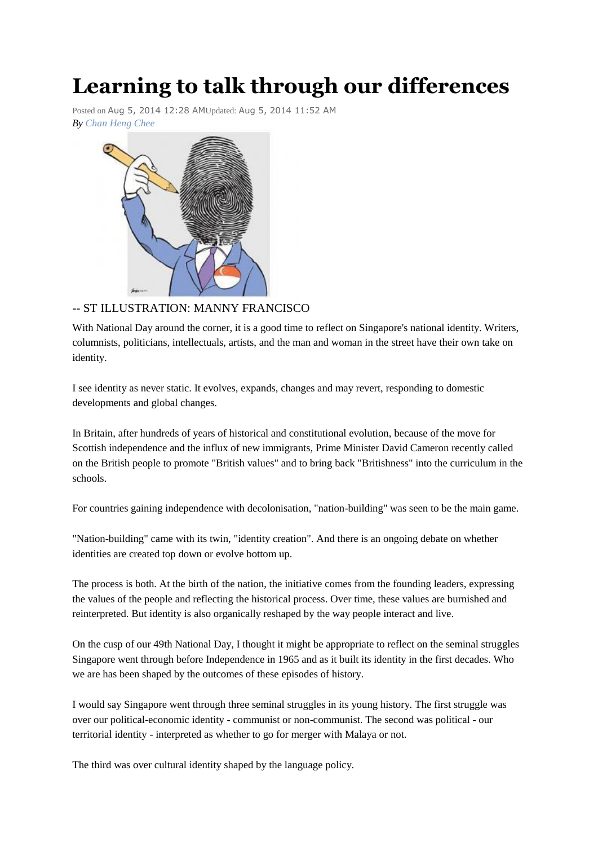# **Learning to talk through our differences**

Posted on Aug 5, 2014 12:28 AMUpdated: Aug 5, 2014 11:52 AM *By Chan [Heng](http://www.singapolitics.sg/author/chan-heng-chee) Chee*



## -- ST ILLUSTRATION: MANNY FRANCISCO

With National Day around the corner, it is a good time to reflect on Singapore's national identity. Writers, columnists, politicians, intellectuals, artists, and the man and woman in the street have their own take on identity.

I see identity as never static. It evolves, expands, changes and may revert, responding to domestic developments and global changes.

In Britain, after hundreds of years of historical and constitutional evolution, because of the move for Scottish independence and the influx of new immigrants, Prime Minister David Cameron recently called on the British people to promote "British values" and to bring back "Britishness" into the curriculum in the schools.

For countries gaining independence with decolonisation, "nation-building" was seen to be the main game.

"Nation-building" came with its twin, "identity creation". And there is an ongoing debate on whether identities are created top down or evolve bottom up.

The process is both. At the birth of the nation, the initiative comes from the founding leaders, expressing the values of the people and reflecting the historical process. Over time, these values are burnished and reinterpreted. But identity is also organically reshaped by the way people interact and live.

On the cusp of our 49th National Day, I thought it might be appropriate to reflect on the seminal struggles Singapore went through before Independence in 1965 and as it built its identity in the first decades. Who we are has been shaped by the outcomes of these episodes of history.

I would say Singapore went through three seminal struggles in its young history. The first struggle was over our political-economic identity - communist or non-communist. The second was political - our territorial identity - interpreted as whether to go for merger with Malaya or not.

The third was over cultural identity shaped by the language policy.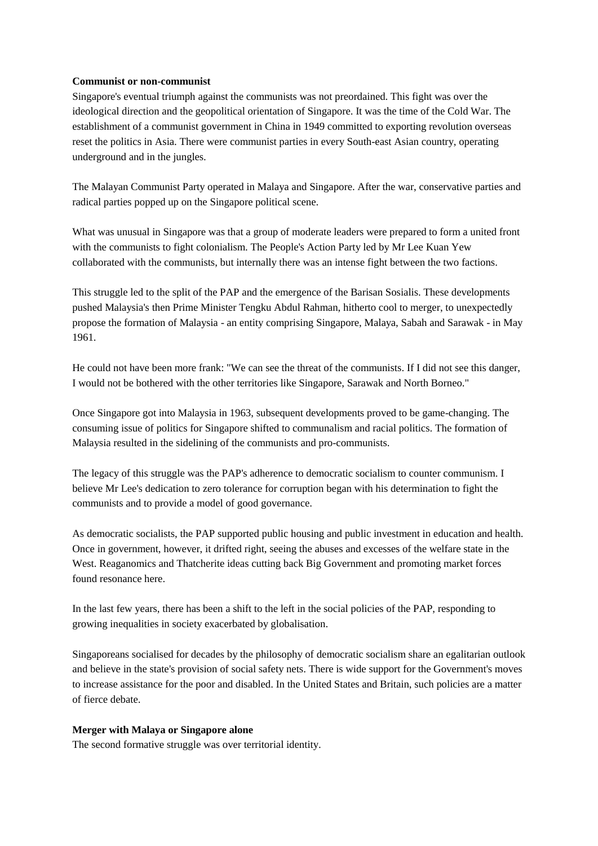#### **Communist or non-communist**

Singapore's eventual triumph against the communists was not preordained. This fight was over the ideological direction and the geopolitical orientation of Singapore. It was the time of the Cold War. The establishment of a communist government in China in 1949 committed to exporting revolution overseas reset the politics in Asia. There were communist parties in every South-east Asian country, operating underground and in the jungles.

The Malayan Communist Party operated in Malaya and Singapore. After the war, conservative parties and radical parties popped up on the Singapore political scene.

What was unusual in Singapore was that a group of moderate leaders were prepared to form a united front with the communists to fight colonialism. The People's Action Party led by Mr Lee Kuan Yew collaborated with the communists, but internally there was an intense fight between the two factions.

This struggle led to the split of the PAP and the emergence of the Barisan Sosialis. These developments pushed Malaysia's then Prime Minister Tengku Abdul Rahman, hitherto cool to merger, to unexpectedly propose the formation of Malaysia - an entity comprising Singapore, Malaya, Sabah and Sarawak - in May 1961.

He could not have been more frank: "We can see the threat of the communists. If I did not see this danger, I would not be bothered with the other territories like Singapore, Sarawak and North Borneo."

Once Singapore got into Malaysia in 1963, subsequent developments proved to be game-changing. The consuming issue of politics for Singapore shifted to communalism and racial politics. The formation of Malaysia resulted in the sidelining of the communists and pro-communists.

The legacy of this struggle was the PAP's adherence to democratic socialism to counter communism. I believe Mr Lee's dedication to zero tolerance for corruption began with his determination to fight the communists and to provide a model of good governance.

As democratic socialists, the PAP supported public housing and public investment in education and health. Once in government, however, it drifted right, seeing the abuses and excesses of the welfare state in the West. Reaganomics and Thatcherite ideas cutting back Big Government and promoting market forces found resonance here.

In the last few years, there has been a shift to the left in the social policies of the PAP, responding to growing inequalities in society exacerbated by globalisation.

Singaporeans socialised for decades by the philosophy of democratic socialism share an egalitarian outlook and believe in the state's provision of social safety nets. There is wide support for the Government's moves to increase assistance for the poor and disabled. In the United States and Britain, such policies are a matter of fierce debate.

#### **Merger with Malaya or Singapore alone**

The second formative struggle was over territorial identity.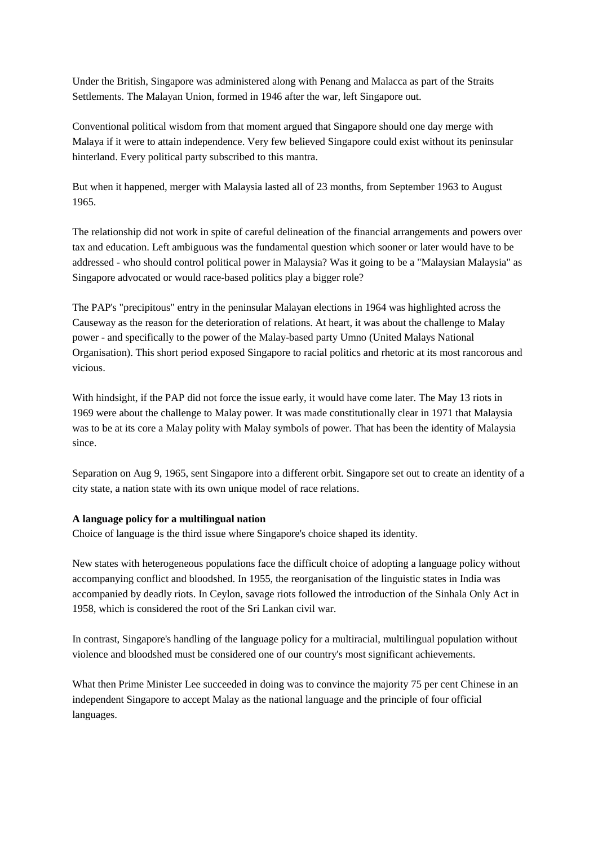Under the British, Singapore was administered along with Penang and Malacca as part of the Straits Settlements. The Malayan Union, formed in 1946 after the war, left Singapore out.

Conventional political wisdom from that moment argued that Singapore should one day merge with Malaya if it were to attain independence. Very few believed Singapore could exist without its peninsular hinterland. Every political party subscribed to this mantra.

But when it happened, merger with Malaysia lasted all of 23 months, from September 1963 to August 1965.

The relationship did not work in spite of careful delineation of the financial arrangements and powers over tax and education. Left ambiguous was the fundamental question which sooner or later would have to be addressed - who should control political power in Malaysia? Was it going to be a "Malaysian Malaysia" as Singapore advocated or would race-based politics play a bigger role?

The PAP's "precipitous" entry in the peninsular Malayan elections in 1964 was highlighted across the Causeway as the reason for the deterioration of relations. At heart, it was about the challenge to Malay power - and specifically to the power of the Malay-based party Umno (United Malays National Organisation). This short period exposed Singapore to racial politics and rhetoric at its most rancorous and vicious.

With hindsight, if the PAP did not force the issue early, it would have come later. The May 13 riots in 1969 were about the challenge to Malay power. It was made constitutionally clear in 1971 that Malaysia was to be at its core a Malay polity with Malay symbols of power. That has been the identity of Malaysia since.

Separation on Aug 9, 1965, sent Singapore into a different orbit. Singapore set out to create an identity of a city state, a nation state with its own unique model of race relations.

### **A language policy for a multilingual nation**

Choice of language is the third issue where Singapore's choice shaped its identity.

New states with heterogeneous populations face the difficult choice of adopting a language policy without accompanying conflict and bloodshed. In 1955, the reorganisation of the linguistic states in India was accompanied by deadly riots. In Ceylon, savage riots followed the introduction of the Sinhala Only Act in 1958, which is considered the root of the Sri Lankan civil war.

In contrast, Singapore's handling of the language policy for a multiracial, multilingual population without violence and bloodshed must be considered one of our country's most significant achievements.

What then Prime Minister Lee succeeded in doing was to convince the majority 75 per cent Chinese in an independent Singapore to accept Malay as the national language and the principle of four official languages.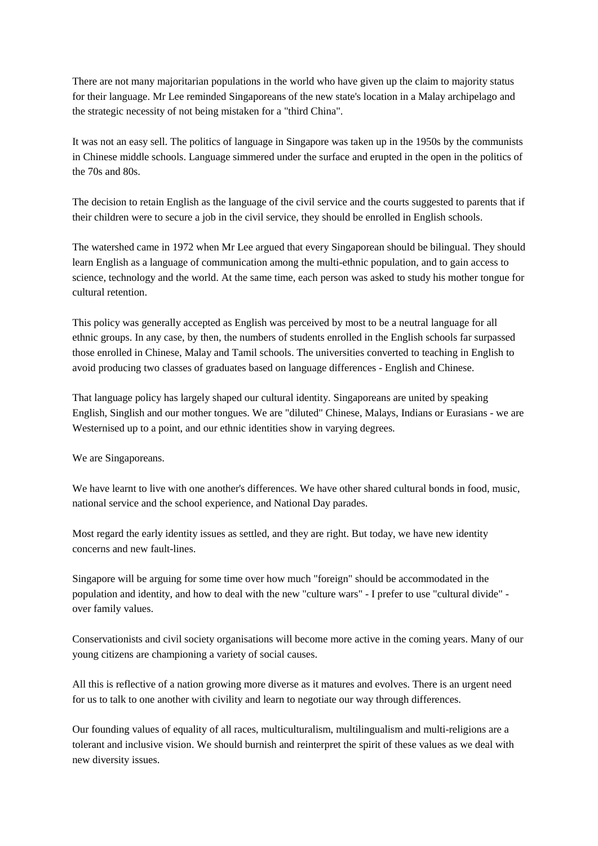There are not many majoritarian populations in the world who have given up the claim to majority status for their language. Mr Lee reminded Singaporeans of the new state's location in a Malay archipelago and the strategic necessity of not being mistaken for a "third China".

It was not an easy sell. The politics of language in Singapore was taken up in the 1950s by the communists in Chinese middle schools. Language simmered under the surface and erupted in the open in the politics of the 70s and 80s.

The decision to retain English as the language of the civil service and the courts suggested to parents that if their children were to secure a job in the civil service, they should be enrolled in English schools.

The watershed came in 1972 when Mr Lee argued that every Singaporean should be bilingual. They should learn English as a language of communication among the multi-ethnic population, and to gain access to science, technology and the world. At the same time, each person was asked to study his mother tongue for cultural retention.

This policy was generally accepted as English was perceived by most to be a neutral language for all ethnic groups. In any case, by then, the numbers of students enrolled in the English schools far surpassed those enrolled in Chinese, Malay and Tamil schools. The universities converted to teaching in English to avoid producing two classes of graduates based on language differences - English and Chinese.

That language policy has largely shaped our cultural identity. Singaporeans are united by speaking English, Singlish and our mother tongues. We are "diluted" Chinese, Malays, Indians or Eurasians - we are Westernised up to a point, and our ethnic identities show in varying degrees.

We are Singaporeans.

We have learnt to live with one another's differences. We have other shared cultural bonds in food, music, national service and the school experience, and National Day parades.

Most regard the early identity issues as settled, and they are right. But today, we have new identity concerns and new fault-lines.

Singapore will be arguing for some time over how much "foreign" should be accommodated in the population and identity, and how to deal with the new "culture wars" - I prefer to use "cultural divide" over family values.

Conservationists and civil society organisations will become more active in the coming years. Many of our young citizens are championing a variety of social causes.

All this is reflective of a nation growing more diverse as it matures and evolves. There is an urgent need for us to talk to one another with civility and learn to negotiate our way through differences.

Our founding values of equality of all races, multiculturalism, multilingualism and multi-religions are a tolerant and inclusive vision. We should burnish and reinterpret the spirit of these values as we deal with new diversity issues.